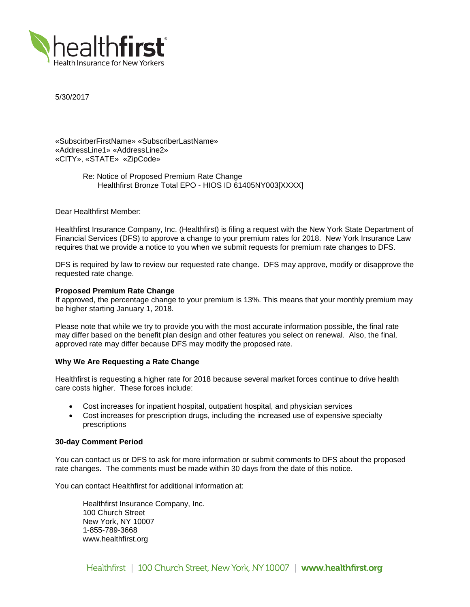

5/30/2017

«SubscirberFirstName» «SubscriberLastName» «AddressLine1» «AddressLine2» «CITY», «STATE» «ZipCode»

> Re: Notice of Proposed Premium Rate Change Healthfirst Bronze Total EPO - HIOS ID 61405NY003[XXXX]

Dear Healthfirst Member:

Healthfirst Insurance Company, Inc. (Healthfirst) is filing a request with the New York State Department of Financial Services (DFS) to approve a change to your premium rates for 2018. New York Insurance Law requires that we provide a notice to you when we submit requests for premium rate changes to DFS.

DFS is required by law to review our requested rate change. DFS may approve, modify or disapprove the requested rate change.

## **Proposed Premium Rate Change**

If approved, the percentage change to your premium is 13%. This means that your monthly premium may be higher starting January 1, 2018.

Please note that while we try to provide you with the most accurate information possible, the final rate may differ based on the benefit plan design and other features you select on renewal. Also, the final, approved rate may differ because DFS may modify the proposed rate.

### **Why We Are Requesting a Rate Change**

Healthfirst is requesting a higher rate for 2018 because several market forces continue to drive health care costs higher. These forces include:

- Cost increases for inpatient hospital, outpatient hospital, and physician services
- Cost increases for prescription drugs, including the increased use of expensive specialty prescriptions

### **30-day Comment Period**

You can contact us or DFS to ask for more information or submit comments to DFS about the proposed rate changes. The comments must be made within 30 days from the date of this notice.

You can contact Healthfirst for additional information at:

Healthfirst Insurance Company, Inc. 100 Church Street New York, NY 10007 1-855-789-3668 www.healthfirst.org